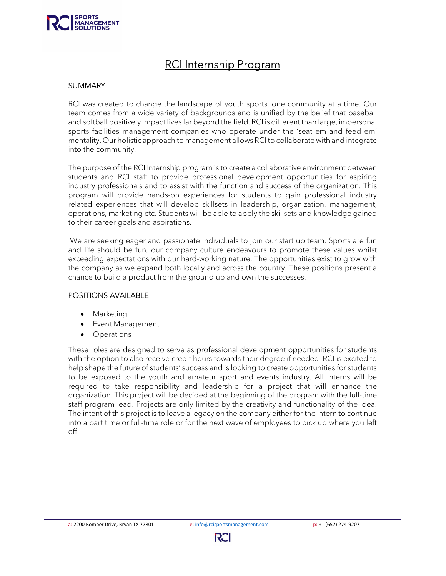

# RCI Internship Program

#### **SUMMARY**

RCI was created to change the landscape of youth sports, one community at a time. Our team comes from a wide variety of backgrounds and is unified by the belief that baseball and softball positively impact lives far beyond the field. RCI is different than large, impersonal sports facilities management companies who operate under the 'seat em and feed em' mentality. Our holistic approach to management allows RCI to collaborate with and integrate into the community.

The purpose of the RCI Internship program is to create a collaborative environment between students and RCI staff to provide professional development opportunities for aspiring industry professionals and to assist with the function and success of the organization. This program will provide hands-on experiences for students to gain professional industry related experiences that will develop skillsets in leadership, organization, management, operations, marketing etc. Students will be able to apply the skillsets and knowledge gained to their career goals and aspirations.

 We are seeking eager and passionate individuals to join our start up team. Sports are fun and life should be fun, our company culture endeavours to promote these values whilst exceeding expectations with our hard-working nature. The opportunities exist to grow with the company as we expand both locally and across the country. These positions present a chance to build a product from the ground up and own the successes.

#### POSITIONS AVAILABLE

- Marketing
- Event Management
- **Operations**

These roles are designed to serve as professional development opportunities for students with the option to also receive credit hours towards their degree if needed. RCI is excited to help shape the future of students' success and is looking to create opportunities for students to be exposed to the youth and amateur sport and events industry. All interns will be required to take responsibility and leadership for a project that will enhance the organization. This project will be decided at the beginning of the program with the full-time staff program lead. Projects are only limited by the creativity and functionality of the idea. The intent of this project is to leave a legacy on the company either for the intern to continue into a part time or full-time role or for the next wave of employees to pick up where you left off.